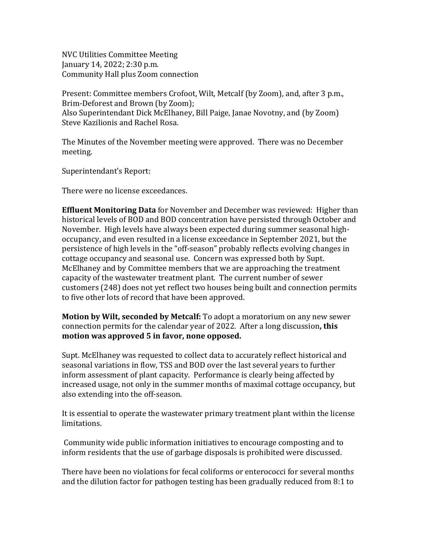NVC Utilities Committee Meeting January 14, 2022; 2:30 p.m. Community Hall plus Zoom connection

Present: Committee members Crofoot, Wilt, Metcalf (by Zoom), and, after 3 p.m., Brim-Deforest and Brown (by Zoom); Also Superintendant Dick McElhaney, Bill Paige, Janae Novotny, and (by Zoom) Steve Kazilionis and Rachel Rosa.

The Minutes of the November meeting were approved. There was no December meeting.

Superintendant's Report:

There were no license exceedances.

**Effluent Monitoring Data** for November and December was reviewed: Higher than historical levels of BOD and BOD concentration have persisted through October and November. High levels have always been expected during summer seasonal highoccupancy, and even resulted in a license exceedance in September 2021, but the persistence of high levels in the "off-season" probably reflects evolving changes in cottage occupancy and seasonal use. Concern was expressed both by Supt. McElhaney and by Committee members that we are approaching the treatment capacity of the wastewater treatment plant. The current number of sewer customers (248) does not yet reflect two houses being built and connection permits to five other lots of record that have been approved.

**Motion by Wilt, seconded by Metcalf:** To adopt a moratorium on any new sewer connection permits for the calendar year of 2022. After a long discussion**, this motion was approved 5 in favor, none opposed.**

Supt. McElhaney was requested to collect data to accurately reflect historical and seasonal variations in flow, TSS and BOD over the last several years to further inform assessment of plant capacity. Performance is clearly being affected by increased usage, not only in the summer months of maximal cottage occupancy, but also extending into the off-season.

It is essential to operate the wastewater primary treatment plant within the license limitations.

 Community wide public information initiatives to encourage composting and to inform residents that the use of garbage disposals is prohibited were discussed.

There have been no violations for fecal coliforms or enterococci for several months and the dilution factor for pathogen testing has been gradually reduced from 8:1 to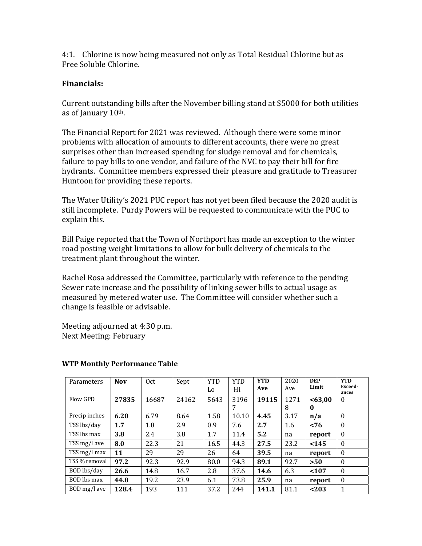4:1. Chlorine is now being measured not only as Total Residual Chlorine but as Free Soluble Chlorine.

## **Financials:**

Current outstanding bills after the November billing stand at \$5000 for both utilities as of January 10th.

The Financial Report for 2021 was reviewed. Although there were some minor problems with allocation of amounts to different accounts, there were no great surprises other than increased spending for sludge removal and for chemicals, failure to pay bills to one vendor, and failure of the NVC to pay their bill for fire hydrants. Committee members expressed their pleasure and gratitude to Treasurer Huntoon for providing these reports.

The Water Utility's 2021 PUC report has not yet been filed because the 2020 audit is still incomplete. Purdy Powers will be requested to communicate with the PUC to explain this.

Bill Paige reported that the Town of Northport has made an exception to the winter road posting weight limitations to allow for bulk delivery of chemicals to the treatment plant throughout the winter.

Rachel Rosa addressed the Committee, particularly with reference to the pending Sewer rate increase and the possibility of linking sewer bills to actual usage as measured by metered water use. The Committee will consider whether such a change is feasible or advisable.

Meeting adjourned at 4:30 p.m. Next Meeting: February

| Parameters    | <b>Nov</b> | 0 <sub>ct</sub> | Sept  | <b>YTD</b> | <b>YTD</b> | <b>YTD</b> | 2020 | <b>DEP</b> | <b>YTD</b>   |
|---------------|------------|-----------------|-------|------------|------------|------------|------|------------|--------------|
|               |            |                 |       | Lo         | Hi         | Ave        | Ave  | Limit      | Exceed-      |
|               |            |                 |       |            |            |            |      |            | ances        |
| Flow GPD      | 27835      | 16687           | 24162 | 5643       | 3196       | 19115      | 1271 | <63,00     | $\theta$     |
|               |            |                 |       |            | 7          |            | 8    | 0          |              |
| Precip inches | 6.20       | 6.79            | 8.64  | 1.58       | 10.10      | 4.45       | 3.17 | n/a        | $\theta$     |
| TSS lbs/day   | 1.7        | 1.8             | 2.9   | 0.9        | 7.6        | 2.7        | 1.6  | < 76       | $\theta$     |
| TSS lbs max   | 3.8        | 2.4             | 3.8   | 1.7        | 11.4       | 5.2        | na   | report     | $\mathbf{0}$ |
| TSS mg/l ave  | 8.0        | 22.3            | 21    | 16.5       | 44.3       | 27.5       | 23.2 | $145$      | $\theta$     |
| TSS mg/l max  | 11         | 29              | 29    | 26         | 64         | 39.5       | na   | report     | $\mathbf{0}$ |
| TSS % removal | 97.2       | 92.3            | 92.9  | 80.0       | 94.3       | 89.1       | 92.7 | >50        | $\theta$     |
| BOD lbs/day   | 26.6       | 14.8            | 16.7  | 2.8        | 37.6       | 14.6       | 6.3  | < 107      | $\theta$     |
| BOD lbs max   | 44.8       | 19.2            | 23.9  | 6.1        | 73.8       | 25.9       | na   | report     | $\theta$     |
| BOD mg/l ave  | 128.4      | 193             | 111   | 37.2       | 244        | 141.1      | 81.1 | < 203      | 1            |

## **WTP Monthly Performance Table**